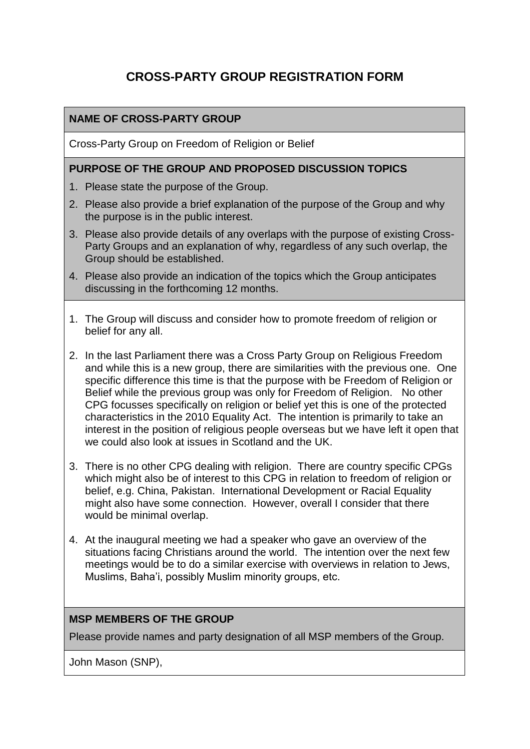# **CROSS-PARTY GROUP REGISTRATION FORM**

### **NAME OF CROSS-PARTY GROUP**

Cross-Party Group on Freedom of Religion or Belief

#### **PURPOSE OF THE GROUP AND PROPOSED DISCUSSION TOPICS**

- 1. Please state the purpose of the Group.
- 2. Please also provide a brief explanation of the purpose of the Group and why the purpose is in the public interest.
- 3. Please also provide details of any overlaps with the purpose of existing Cross-Party Groups and an explanation of why, regardless of any such overlap, the Group should be established.
- 4. Please also provide an indication of the topics which the Group anticipates discussing in the forthcoming 12 months.
- 1. The Group will discuss and consider how to promote freedom of religion or belief for any all.
- 2. In the last Parliament there was a Cross Party Group on Religious Freedom and while this is a new group, there are similarities with the previous one. One specific difference this time is that the purpose with be Freedom of Religion or Belief while the previous group was only for Freedom of Religion. No other CPG focusses specifically on religion or belief yet this is one of the protected characteristics in the 2010 Equality Act. The intention is primarily to take an interest in the position of religious people overseas but we have left it open that we could also look at issues in Scotland and the UK.
- 3. There is no other CPG dealing with religion. There are country specific CPGs which might also be of interest to this CPG in relation to freedom of religion or belief, e.g. China, Pakistan. International Development or Racial Equality might also have some connection. However, overall I consider that there would be minimal overlap.
- 4. At the inaugural meeting we had a speaker who gave an overview of the situations facing Christians around the world. The intention over the next few meetings would be to do a similar exercise with overviews in relation to Jews, Muslims, Baha'i, possibly Muslim minority groups, etc.

### **MSP MEMBERS OF THE GROUP**

Please provide names and party designation of all MSP members of the Group.

John Mason (SNP),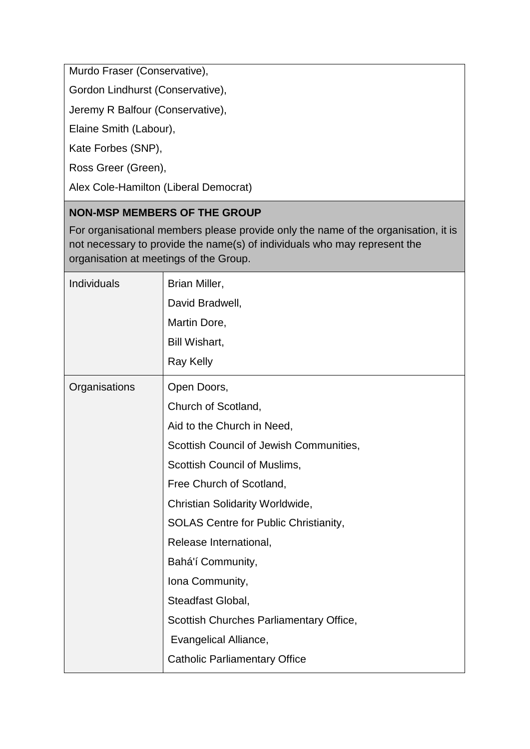Murdo Fraser (Conservative),

Gordon Lindhurst (Conservative),

Jeremy R Balfour (Conservative),

Elaine Smith (Labour),

Kate Forbes (SNP),

Ross Greer (Green),

Alex Cole-Hamilton (Liberal Democrat)

### **NON-MSP MEMBERS OF THE GROUP**

For organisational members please provide only the name of the organisation, it is not necessary to provide the name(s) of individuals who may represent the organisation at meetings of the Group.

| Individuals   | Brian Miller,                                |
|---------------|----------------------------------------------|
|               | David Bradwell,                              |
|               | Martin Dore,                                 |
|               | Bill Wishart,                                |
|               | <b>Ray Kelly</b>                             |
| Organisations | Open Doors,                                  |
|               | Church of Scotland,                          |
|               | Aid to the Church in Need,                   |
|               | Scottish Council of Jewish Communities,      |
|               | Scottish Council of Muslims,                 |
|               | Free Church of Scotland,                     |
|               | Christian Solidarity Worldwide,              |
|               | <b>SOLAS Centre for Public Christianity,</b> |
|               | Release International,                       |
|               | Bahá'í Community,                            |
|               | Iona Community,                              |
|               | Steadfast Global,                            |
|               | Scottish Churches Parliamentary Office,      |
|               | Evangelical Alliance,                        |
|               | <b>Catholic Parliamentary Office</b>         |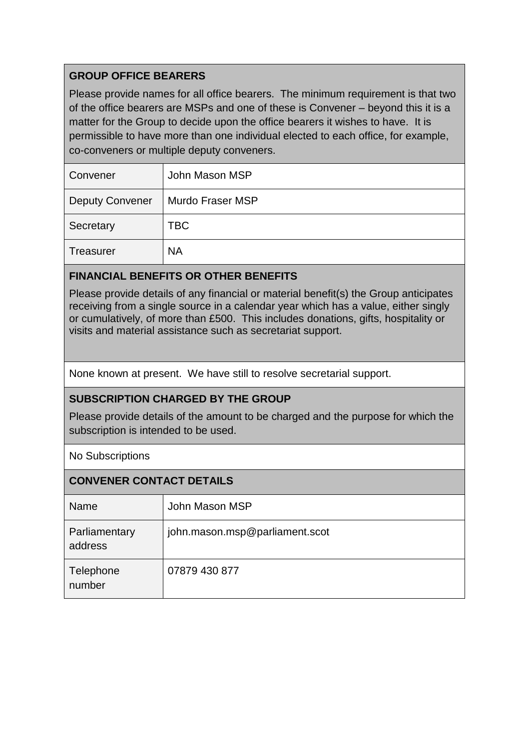# **GROUP OFFICE BEARERS**

Please provide names for all office bearers. The minimum requirement is that two of the office bearers are MSPs and one of these is Convener – beyond this it is a matter for the Group to decide upon the office bearers it wishes to have. It is permissible to have more than one individual elected to each office, for example, co-conveners or multiple deputy conveners.

| Convener               | John Mason MSP   |
|------------------------|------------------|
| <b>Deputy Convener</b> | Murdo Fraser MSP |
| Secretary              | TBC              |
| <b>Treasurer</b>       | <b>NA</b>        |

# **FINANCIAL BENEFITS OR OTHER BENEFITS**

Please provide details of any financial or material benefit(s) the Group anticipates receiving from a single source in a calendar year which has a value, either singly or cumulatively, of more than £500. This includes donations, gifts, hospitality or visits and material assistance such as secretariat support.

None known at present. We have still to resolve secretarial support.

### **SUBSCRIPTION CHARGED BY THE GROUP**

Please provide details of the amount to be charged and the purpose for which the subscription is intended to be used.

### No Subscriptions

| <b>CONVENER CONTACT DETAILS</b> |                                |  |
|---------------------------------|--------------------------------|--|
| <b>Name</b>                     | John Mason MSP                 |  |
| Parliamentary<br>address        | john.mason.msp@parliament.scot |  |
| Telephone<br>number             | 07879 430 877                  |  |